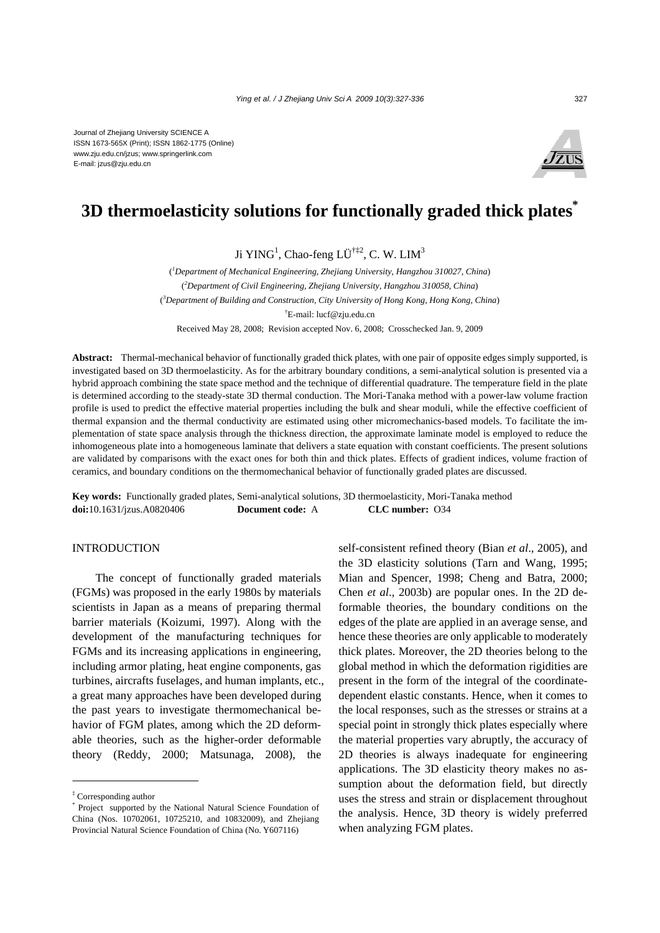Journal of Zhejiang University SCIENCE A ISSN 1673-565X (Print); ISSN 1862-1775 (Online) www.zju.edu.cn/jzus; www.springerlink.com E-mail: jzus@zju.edu.cn



# **3D thermoelasticity solutions for functionally graded thick plates\***

Ji YING<sup>1</sup>, Chao-feng LÜ<sup>†‡2</sup>, C. W. LIM<sup>3</sup>

( *1 Department of Mechanical Engineering, Zhejiang University, Hangzhou 310027, China*) ( *2 Department of Civil Engineering, Zhejiang University, Hangzhou 310058, China*) ( *3 Department of Building and Construction, City University of Hong Kong, Hong Kong, China*) † E-mail: lucf@zju.edu.cn Received May 28, 2008; Revision accepted Nov. 6, 2008; Crosschecked Jan. 9, 2009

**Abstract:** Thermal-mechanical behavior of functionally graded thick plates, with one pair of opposite edges simply supported, is investigated based on 3D thermoelasticity. As for the arbitrary boundary conditions, a semi-analytical solution is presented via a hybrid approach combining the state space method and the technique of differential quadrature. The temperature field in the plate is determined according to the steady-state 3D thermal conduction. The Mori-Tanaka method with a power-law volume fraction profile is used to predict the effective material properties including the bulk and shear moduli, while the effective coefficient of thermal expansion and the thermal conductivity are estimated using other micromechanics-based models. To facilitate the implementation of state space analysis through the thickness direction, the approximate laminate model is employed to reduce the inhomogeneous plate into a homogeneous laminate that delivers a state equation with constant coefficients. The present solutions are validated by comparisons with the exact ones for both thin and thick plates. Effects of gradient indices, volume fraction of ceramics, and boundary conditions on the thermomechanical behavior of functionally graded plates are discussed.

**Key words:** Functionally graded plates, Semi-analytical solutions, 3D thermoelasticity, Mori-Tanaka method **doi:**10.1631/jzus.A0820406 **Document code:** A **CLC number:** O34

## INTRODUCTION

The concept of functionally graded materials (FGMs) was proposed in the early 1980s by materials scientists in Japan as a means of preparing thermal barrier materials (Koizumi, 1997). Along with the development of the manufacturing techniques for FGMs and its increasing applications in engineering, including armor plating, heat engine components, gas turbines, aircrafts fuselages, and human implants, etc., a great many approaches have been developed during the past years to investigate thermomechanical behavior of FGM plates, among which the 2D deformable theories, such as the higher-order deformable theory (Reddy, 2000; Matsunaga, 2008), the

self-consistent refined theory (Bian *et al*., 2005), and the 3D elasticity solutions (Tarn and Wang, 1995; Mian and Spencer, 1998; Cheng and Batra, 2000; Chen *et al*., 2003b) are popular ones. In the 2D deformable theories, the boundary conditions on the edges of the plate are applied in an average sense, and hence these theories are only applicable to moderately thick plates. Moreover, the 2D theories belong to the global method in which the deformation rigidities are present in the form of the integral of the coordinatedependent elastic constants. Hence, when it comes to the local responses, such as the stresses or strains at a special point in strongly thick plates especially where the material properties vary abruptly, the accuracy of 2D theories is always inadequate for engineering applications. The 3D elasticity theory makes no assumption about the deformation field, but directly uses the stress and strain or displacement throughout the analysis. Hence, 3D theory is widely preferred when analyzing FGM plates.

<sup>‡</sup> Corresponding author

<sup>\*</sup> Project supported by the National Natural Science Foundation of China (Nos. 10702061, 10725210, and 10832009), and Zhejiang Provincial Natural Science Foundation of China (No. Y607116)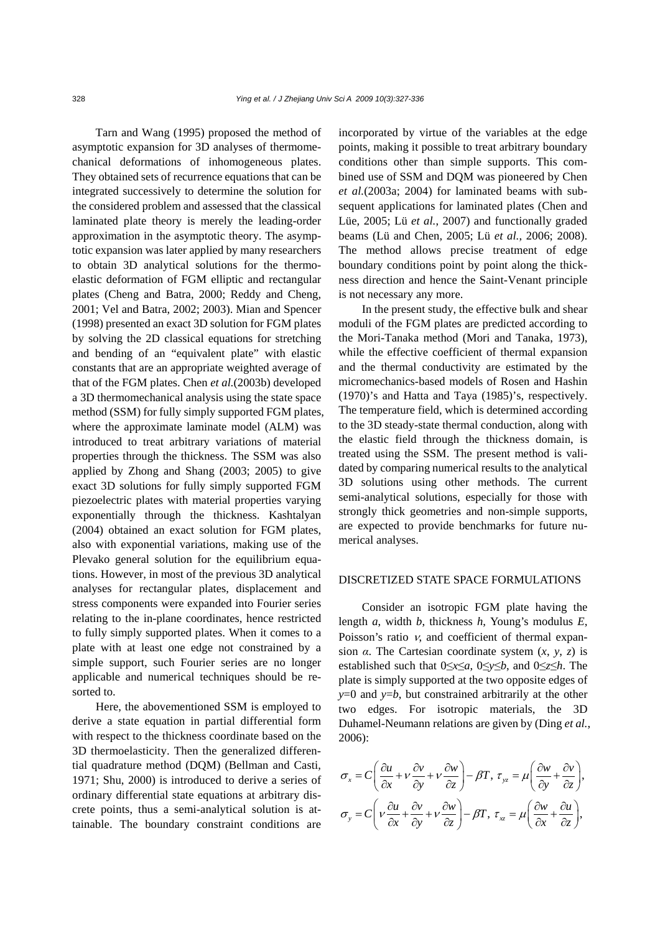Tarn and Wang (1995) proposed the method of asymptotic expansion for 3D analyses of thermomechanical deformations of inhomogeneous plates. They obtained sets of recurrence equations that can be integrated successively to determine the solution for the considered problem and assessed that the classical laminated plate theory is merely the leading-order approximation in the asymptotic theory. The asymptotic expansion was later applied by many researchers to obtain 3D analytical solutions for the thermoelastic deformation of FGM elliptic and rectangular plates (Cheng and Batra, 2000; Reddy and Cheng, 2001; Vel and Batra, 2002; 2003). Mian and Spencer (1998) presented an exact 3D solution for FGM plates by solving the 2D classical equations for stretching and bending of an "equivalent plate" with elastic constants that are an appropriate weighted average of that of the FGM plates. Chen *et al.*(2003b) developed a 3D thermomechanical analysis using the state space method (SSM) for fully simply supported FGM plates, where the approximate laminate model (ALM) was introduced to treat arbitrary variations of material properties through the thickness. The SSM was also applied by Zhong and Shang (2003; 2005) to give exact 3D solutions for fully simply supported FGM piezoelectric plates with material properties varying exponentially through the thickness. Kashtalyan (2004) obtained an exact solution for FGM plates, also with exponential variations, making use of the Plevako general solution for the equilibrium equations. However, in most of the previous 3D analytical analyses for rectangular plates, displacement and stress components were expanded into Fourier series relating to the in-plane coordinates, hence restricted to fully simply supported plates. When it comes to a plate with at least one edge not constrained by a simple support, such Fourier series are no longer applicable and numerical techniques should be resorted to.

Here, the abovementioned SSM is employed to derive a state equation in partial differential form with respect to the thickness coordinate based on the 3D thermoelasticity. Then the generalized differential quadrature method (DQM) (Bellman and Casti, 1971; Shu, 2000) is introduced to derive a series of ordinary differential state equations at arbitrary discrete points, thus a semi-analytical solution is attainable. The boundary constraint conditions are incorporated by virtue of the variables at the edge points, making it possible to treat arbitrary boundary conditions other than simple supports. This combined use of SSM and DQM was pioneered by Chen *et al.*(2003a; 2004) for laminated beams with subsequent applications for laminated plates (Chen and Lüe, 2005; Lü *et al.*, 2007) and functionally graded beams (Lü and Chen, 2005; Lü *et al.*, 2006; 2008). The method allows precise treatment of edge boundary conditions point by point along the thickness direction and hence the Saint-Venant principle is not necessary any more.

In the present study, the effective bulk and shear moduli of the FGM plates are predicted according to the Mori-Tanaka method (Mori and Tanaka, 1973), while the effective coefficient of thermal expansion and the thermal conductivity are estimated by the micromechanics-based models of Rosen and Hashin (1970)'s and Hatta and Taya (1985)'s, respectively. The temperature field, which is determined according to the 3D steady-state thermal conduction, along with the elastic field through the thickness domain, is treated using the SSM. The present method is validated by comparing numerical results to the analytical 3D solutions using other methods. The current semi-analytical solutions, especially for those with strongly thick geometries and non-simple supports, are expected to provide benchmarks for future numerical analyses.

### DISCRETIZED STATE SPACE FORMULATIONS

Consider an isotropic FGM plate having the length *a*, width *b*, thickness *h*, Young's modulus *E*, Poisson's ratio  $v$ , and coefficient of thermal expansion  $\alpha$ . The Cartesian coordinate system  $(x, y, z)$  is established such that 0≤*x*≤*a*, 0≤*y*≤*b*, and 0≤*z*≤*h*. The plate is simply supported at the two opposite edges of *y*=0 and *y*=*b*, but constrained arbitrarily at the other two edges. For isotropic materials, the 3D Duhamel-Neumann relations are given by (Ding *et al.*, 2006):

$$
\sigma_x = C \left( \frac{\partial u}{\partial x} + v \frac{\partial v}{\partial y} + v \frac{\partial w}{\partial z} \right) - \beta T, \ \tau_{yz} = \mu \left( \frac{\partial w}{\partial y} + \frac{\partial v}{\partial z} \right),
$$

$$
\sigma_y = C \left( v \frac{\partial u}{\partial x} + \frac{\partial v}{\partial y} + v \frac{\partial w}{\partial z} \right) - \beta T, \ \tau_{xz} = \mu \left( \frac{\partial w}{\partial x} + \frac{\partial u}{\partial z} \right),
$$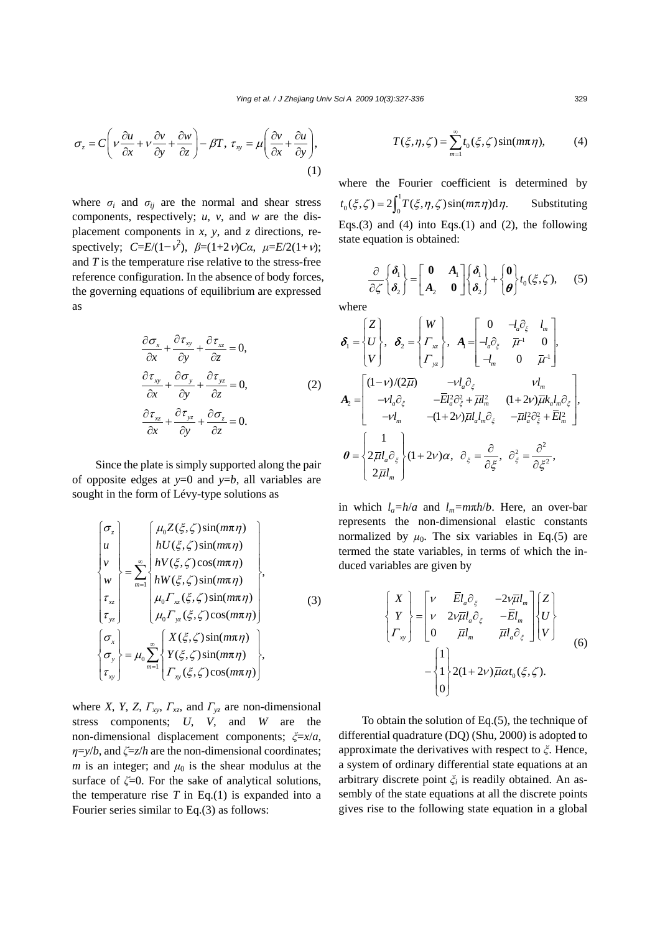$$
\sigma_z = C \left( v \frac{\partial u}{\partial x} + v \frac{\partial v}{\partial y} + \frac{\partial w}{\partial z} \right) - \beta T, \ \tau_{xy} = \mu \left( \frac{\partial v}{\partial x} + \frac{\partial u}{\partial y} \right),\tag{1}
$$

where  $\sigma_i$  and  $\sigma_{ij}$  are the normal and shear stress components, respectively; *u*, *v*, and *w* are the displacement components in *x*, *y*, and *z* directions, respectively;  $C=E/(1-\nu^2)$ ,  $\beta=(1+2\nu)C\alpha$ ,  $\mu=E/2(1+\nu)$ ; and *T* is the temperature rise relative to the stress-free reference configuration. In the absence of body forces, the governing equations of equilibrium are expressed as

$$
\frac{\partial \sigma_x}{\partial x} + \frac{\partial \tau_{xy}}{\partial y} + \frac{\partial \tau_{xz}}{\partial z} = 0,
$$
\n
$$
\frac{\partial \tau_{xy}}{\partial x} + \frac{\partial \sigma_y}{\partial y} + \frac{\partial \tau_{yz}}{\partial z} = 0,
$$
\n
$$
\frac{\partial \tau_{xz}}{\partial x} + \frac{\partial \tau_{yz}}{\partial y} + \frac{\partial \sigma_z}{\partial z} = 0.
$$
\n(2)

Since the plate is simply supported along the pair of opposite edges at  $y=0$  and  $y=b$ , all variables are sought in the form of Lévy-type solutions as

$$
\begin{cases}\n\sigma_z \\
u \\
v \\
\tau_{xz} \\
\tau_{yz}\n\end{cases} = \sum_{m=1}^{\infty} \begin{cases}\n\mu_0 Z(\xi, \zeta) \sin(m\pi \eta) \\
hU(\xi, \zeta) \sin(m\pi \eta) \\
hV(\xi, \zeta) \cos(m\pi \eta) \\
hW(\xi, \zeta) \sin(m\pi \eta) \\
\mu_0 \Gamma_{xz}(\xi, \zeta) \sin(m\pi \eta) \\
\mu_0 \Gamma_{yz}(\xi, \zeta) \cos(m\pi \eta)\n\end{cases},
$$
\n(3)\n
$$
\begin{cases}\n\sigma_x \\
\sigma_y \\
\sigma_y \\
\tau_{xy}\n\end{cases} = \mu_0 \sum_{m=1}^{\infty} \begin{cases}\nX(\xi, \zeta) \sin(m\pi \eta) \\
Y(\xi, \zeta) \sin(m\pi \eta) \\
\Gamma_{xy}(\xi, \zeta) \cos(m\pi \eta)\n\end{cases},
$$

where *X*, *Y*, *Z*, *Γxy*, *Γxz*, and *Γyz* are non-dimensional stress components; *U*, *V*, and *W* are the non-dimensional displacement components; *ξ*=*x*/*a*, *η*=*y*/*b*, and *ζ*=*z*/*h* are the non-dimensional coordinates; *m* is an integer; and  $\mu_0$  is the shear modulus at the surface of  $\zeta = 0$ . For the sake of analytical solutions, the temperature rise  $T$  in Eq.(1) is expanded into a Fourier series similar to Eq.(3) as follows:

$$
T(\xi, \eta, \zeta) = \sum_{m=1}^{\infty} t_0(\xi, \zeta) \sin(m\pi \eta), \qquad (4)
$$

where the Fourier coefficient is determined by  $t_0(\xi, \zeta) = 2 \int_0^1 T(\xi, \eta, \zeta) \sin(m\pi \eta) d\eta$ . Substituting Eqs.(3) and (4) into Eqs.(1) and (2), the following state equation is obtained:

 $\frac{\partial}{\partial \zeta} \begin{bmatrix} \boldsymbol{\delta}_1 \\ \boldsymbol{\delta}_2 \end{bmatrix} = \begin{bmatrix} \mathbf{0} & \mathbf{A}_1 \\ \mathbf{A}_2 & \mathbf{0} \end{bmatrix} \begin{bmatrix} \boldsymbol{\delta}_1 \\ \boldsymbol{\delta}_2 \end{bmatrix} + \begin{bmatrix} \mathbf{0} \\ \boldsymbol{\theta} \end{bmatrix} t_0(\xi, \zeta),$  $\delta$ <sub>2</sub>  $|$   $|$   $A$ <sub>2</sub>  $\theta$   $|$  $|$  $\delta$ **0 b**<sub>1</sub>  $\begin{bmatrix} \delta_1 \\ \delta_2 \end{bmatrix} + \begin{bmatrix} \mathbf{0} \\ \mathbf{0} \end{bmatrix} t_0(\xi, \zeta),$  (5) where

$$
\delta_{1} = \begin{cases}\nZ \\
U \\
V\n\end{cases}, \quad \delta_{2} = \begin{cases}\nW \\
\Gamma_{xz} \\
\Gamma_{yz}\n\end{cases}, \quad A_{1} = \begin{bmatrix}\n0 & -l_{a}\partial_{\xi} & l_{m} \\
-l_{a}\partial_{\xi} & \bar{\mu}^{-1} & 0 \\
-l_{m} & 0 & \bar{\mu}^{-1}\n\end{bmatrix}, \\
A_{2} = \begin{bmatrix}\n(1-\nu)/(2\bar{\mu}) & -\nu l_{a}\partial_{\xi} & \nu l_{m} \\
-\nu l_{a}\partial_{\xi} & -\bar{E}l_{a}^{2}\partial_{\xi}^{2} + \bar{\mu}l_{m}^{2} & (1+2\nu)\bar{\mu}k_{a}l_{m}\partial_{\xi} \\
-\nu l_{m} & -(1+2\nu)\bar{\mu}l_{a}l_{m}\partial_{\xi} & -\bar{\mu}l_{a}^{2}\partial_{\xi}^{2} + \bar{E}l_{m}^{2}\n\end{cases}, \\
\theta = \begin{cases}\n1 \\
2\bar{\mu}l_{a}\partial_{\xi} \\
2\bar{\mu}l_{m}\n\end{cases}, \quad \partial_{\xi} = \frac{\partial}{\partial \xi}, \quad \partial_{\xi}^{2} = \frac{\partial^{2}}{\partial \xi^{2}},
$$

in which  $l_a=h/a$  and  $l_m=m\pi h/b$ . Here, an over-bar represents the non-dimensional elastic constants normalized by  $\mu_0$ . The six variables in Eq.(5) are termed the state variables, in terms of which the induced variables are given by

$$
\begin{Bmatrix} X \\ Y \\ \Gamma_{xy} \end{Bmatrix} = \begin{bmatrix} v & \overline{E}l_a \partial_{\xi} & -2v\overline{\mu}l_m \\ v & 2v\overline{\mu}l_a \partial_{\xi} & -\overline{E}l_m \\ 0 & \overline{\mu}l_m & \overline{\mu}l_a \partial_{\xi} \end{bmatrix} \begin{bmatrix} Z \\ U \\ V \end{bmatrix}
$$

$$
- \begin{Bmatrix} 1 \\ 1 \\ 0 \end{Bmatrix} 2(1+2v)\overline{\mu}\alpha t_0(\xi,\zeta).
$$
 (6)

To obtain the solution of Eq.(5), the technique of differential quadrature (DQ) (Shu, 2000) is adopted to approximate the derivatives with respect to *ξ*. Hence, a system of ordinary differential state equations at an arbitrary discrete point *ξi* is readily obtained. An assembly of the state equations at all the discrete points gives rise to the following state equation in a global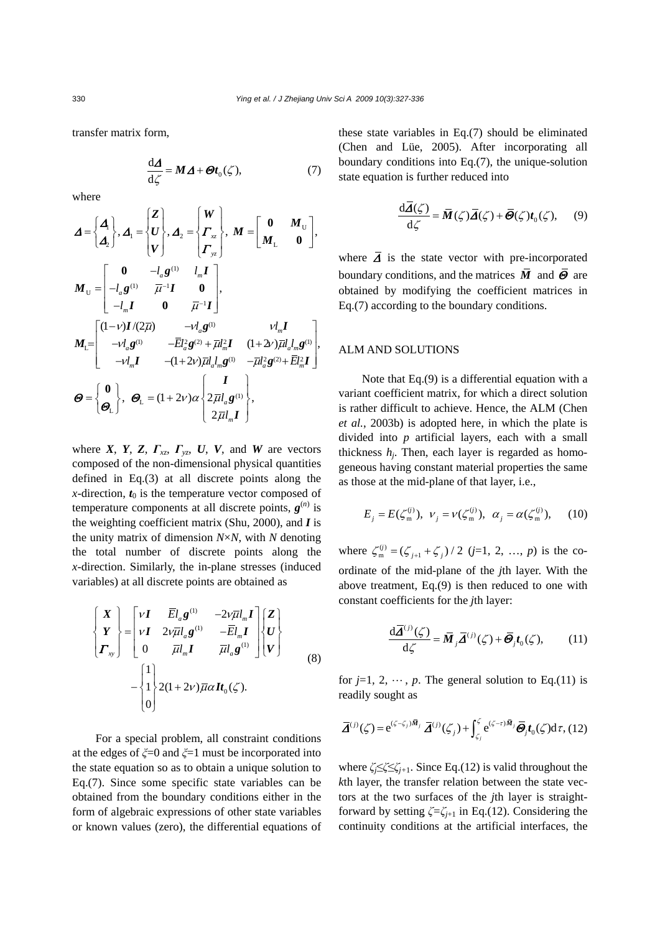transfer matrix form,

$$
\frac{\mathrm{d}\Delta}{\mathrm{d}\zeta} = M\,\Delta + \mathcal{O}t_0(\zeta),\tag{7}
$$

where

$$
\mathbf{\Delta} = \begin{Bmatrix} \mathbf{\Delta} \\ \mathbf{\Delta}_{z} \end{Bmatrix}, \mathbf{\Delta}_{1} = \begin{Bmatrix} \mathbf{Z} \\ \mathbf{U} \\ \mathbf{V} \end{Bmatrix}, \mathbf{\Delta}_{2} = \begin{Bmatrix} \mathbf{W} \\ \mathbf{\Gamma}_{xz} \\ \mathbf{\Gamma}_{yz} \end{Bmatrix}, \mathbf{M} = \begin{bmatrix} \mathbf{0} & \mathbf{M}_{U} \\ \mathbf{M}_{L} & \mathbf{0} \end{bmatrix},
$$
\n
$$
\mathbf{M}_{U} = \begin{bmatrix} \mathbf{0} & -l_{a}\mathbf{g}^{(1)} & l_{m}\mathbf{I} \\ -l_{a}\mathbf{g}^{(1)} & \overline{\mu}^{-1}\mathbf{I} & \mathbf{0} \\ -l_{m}\mathbf{I} & \mathbf{0} & \overline{\mu}^{-1}\mathbf{I} \end{bmatrix},
$$
\n
$$
\mathbf{M}_{L} = \begin{bmatrix} (1-\mathbf{V})\mathbf{I}/(2\overline{\mu}) & -\mathbf{V}_{a}\mathbf{g}^{(1)} & \mathbf{V}_{m}\mathbf{I} \\ -\mathbf{V}_{a}\mathbf{g}^{(1)} & -\overline{E}l_{a}^{2}\mathbf{g}^{(2)} + \overline{\mu}l_{m}^{2}\mathbf{I} & (1+2\mathbf{V})\overline{\mu}l_{a}l_{m}\mathbf{g}^{(1)} \\ -\mathbf{V}l_{m}\mathbf{I} & -(1+2\mathbf{V})\overline{\mu}l_{a}l_{m}\mathbf{g}^{(1)} & -\overline{\mu}l_{a}^{2}\mathbf{g}^{(2)} + \overline{E}l_{m}^{2}\mathbf{I} \end{Bmatrix},
$$
\n
$$
\mathbf{\Theta} = \begin{Bmatrix} \mathbf{0} \\ \mathbf{\Theta}_{L} \end{Bmatrix}, \mathbf{\Theta}_{L} = (1+2\mathbf{V})\alpha \begin{Bmatrix} \mathbf{I} \\ 2\overline{\mu}l_{a}\mathbf{g}^{(1)} \\ 2\overline{\mu}l_{a}\mathbf{I} \end{Bmatrix},
$$

where *X*, *Y*, *Z*,  $\Gamma_{xz}$ ,  $\Gamma_{yz}$ , *U*, *V*, and *W* are vectors composed of the non-dimensional physical quantities defined in Eq.(3) at all discrete points along the *x*-direction,  $t_0$  is the temperature vector composed of temperature components at all discrete points,  $g^{(n)}$  is the weighting coefficient matrix (Shu, 2000), and *I* is the unity matrix of dimension *N*×*N*, with *N* denoting the total number of discrete points along the *x*-direction. Similarly, the in-plane stresses (induced variables) at all discrete points are obtained as

$$
\begin{Bmatrix}\nX \\
Y \\
\boldsymbol{\Gamma}_{\boldsymbol{v}}\n\end{Bmatrix} = \begin{bmatrix}\nV\boldsymbol{I} & \overline{E}l_{a}\boldsymbol{g}^{(1)} & -2V\overline{\mu}l_{m}\boldsymbol{I} \\
V\boldsymbol{I} & 2V\overline{\mu}l_{a}\boldsymbol{g}^{(1)} & -\overline{E}l_{m}\boldsymbol{I} \\
0 & \overline{\mu}l_{m}\boldsymbol{I} & \overline{\mu}l_{a}\boldsymbol{g}^{(1)}\n\end{bmatrix} \begin{Bmatrix}\nZ \\
U \\
V\n\end{Bmatrix}
$$
\n
$$
- \begin{Bmatrix}\n1 \\
1 \\
0\n\end{Bmatrix} 2(1+2V)\overline{\mu}\alpha \boldsymbol{I}t_{0}(\zeta).
$$
\n(8)

For a special problem, all constraint conditions at the edges of *ξ*=0 and *ξ*=1 must be incorporated into the state equation so as to obtain a unique solution to Eq.(7). Since some specific state variables can be obtained from the boundary conditions either in the form of algebraic expressions of other state variables or known values (zero), the differential equations of these state variables in Eq.(7) should be eliminated (Chen and Lüe, 2005). After incorporating all boundary conditions into Eq.(7), the unique-solution state equation is further reduced into

$$
\frac{\mathrm{d}\overline{\mathbf{A}}(\zeta)}{\mathrm{d}\zeta} = \overline{\mathbf{M}}(\zeta)\overline{\mathbf{A}}(\zeta) + \overline{\mathbf{\Theta}}(\zeta)t_0(\zeta), \qquad (9)
$$

where  $\overline{A}$  is the state vector with pre-incorporated boundary conditions, and the matrices  $\overline{M}$  and  $\overline{\Theta}$  are obtained by modifying the coefficient matrices in Eq.(7) according to the boundary conditions.

# ALM AND SOLUTIONS

Note that Eq.(9) is a differential equation with a variant coefficient matrix, for which a direct solution is rather difficult to achieve. Hence, the ALM (Chen *et al.*, 2003b) is adopted here, in which the plate is divided into *p* artificial layers, each with a small thickness  $h_i$ . Then, each layer is regarded as homogeneous having constant material properties the same as those at the mid-plane of that layer, i.e.,

$$
E_j = E(\zeta_m^{(j)}), \ \nu_j = \nu(\zeta_m^{(j)}), \ \alpha_j = \alpha(\zeta_m^{(j)}), \tag{10}
$$

where  $\zeta_{m}^{(j)} = (\zeta_{j+1} + \zeta_j)/2$  (*j*=1, 2, …, *p*) is the coordinate of the mid-plane of the *j*th layer. With the above treatment, Eq.(9) is then reduced to one with constant coefficients for the *j*th layer:

$$
\frac{\mathrm{d}\overline{\mathbf{\mathcal{A}}}^{(j)}(\zeta)}{\mathrm{d}\zeta} = \overline{\mathbf{M}}_j \overline{\mathbf{\mathcal{A}}}^{(j)}(\zeta) + \overline{\mathbf{\Theta}}_j t_0(\zeta),\qquad(11)
$$

for  $j=1, 2, \dots, p$ . The general solution to Eq.(11) is readily sought as

$$
\overline{\mathbf{\Delta}}^{(j)}(\zeta) = e^{(\zeta - \zeta_j)\overline{\mathbf{\mathbf{M}}}_j} \, \overline{\mathbf{\Delta}}^{(j)}(\zeta_j) + \int_{\zeta_j}^{\zeta} e^{(\zeta - \tau)\overline{\mathbf{\mathbf{M}}}_j} \overline{\mathbf{\mathbf{\Theta}}}_j t_0(\zeta) d\tau, (12)
$$

where *ζj*≤*ζ*≤*ζj+*1. Since Eq.(12) is valid throughout the *k*th layer, the transfer relation between the state vectors at the two surfaces of the *j*th layer is straightforward by setting  $\zeta = \zeta_{i+1}$  in Eq.(12). Considering the continuity conditions at the artificial interfaces, the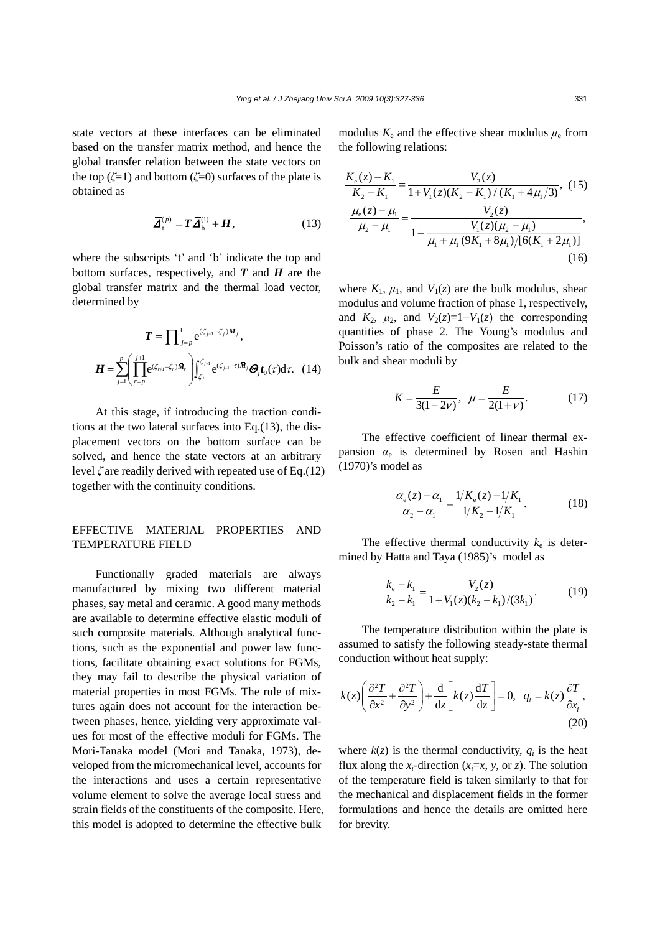state vectors at these interfaces can be eliminated based on the transfer matrix method, and hence the global transfer relation between the state vectors on the top  $(\zeta=1)$  and bottom  $(\zeta=0)$  surfaces of the plate is obtained as

$$
\overline{\mathbf{A}}_{t}^{(p)} = \mathbf{T}\overline{\mathbf{A}}_{b}^{(1)} + \mathbf{H}, \qquad (13)
$$

where the subscripts 't' and 'b' indicate the top and bottom surfaces, respectively, and *T* and *H* are the global transfer matrix and the thermal load vector, determined by

$$
\boldsymbol{T} = \prod_{j=p}^{1} e^{(\zeta_{j+1} - \zeta_j)\bar{\boldsymbol{M}}_j},
$$
\n
$$
\boldsymbol{H} = \sum_{j=1}^{p} \left( \prod_{r=p}^{j+1} e^{(\zeta_{r+1} - \zeta_r)\bar{\boldsymbol{M}}_r} \right) \int_{\zeta_j}^{\zeta_{j+1}} e^{(\zeta_{j+1} - r)\bar{\boldsymbol{M}}_j} \bar{\boldsymbol{\Theta}}_j \boldsymbol{t}_0(\tau) d\tau. \quad (14)
$$

At this stage, if introducing the traction conditions at the two lateral surfaces into Eq.(13), the displacement vectors on the bottom surface can be solved, and hence the state vectors at an arbitrary level *ζ* are readily derived with repeated use of Eq.(12) together with the continuity conditions.

# EFFECTIVE MATERIAL PROPERTIES AND TEMPERATURE FIELD

Functionally graded materials are always manufactured by mixing two different material phases, say metal and ceramic. A good many methods are available to determine effective elastic moduli of such composite materials. Although analytical functions, such as the exponential and power law functions, facilitate obtaining exact solutions for FGMs, they may fail to describe the physical variation of material properties in most FGMs. The rule of mixtures again does not account for the interaction between phases, hence, yielding very approximate values for most of the effective moduli for FGMs. The Mori-Tanaka model (Mori and Tanaka, 1973), developed from the micromechanical level, accounts for the interactions and uses a certain representative volume element to solve the average local stress and strain fields of the constituents of the composite. Here, this model is adopted to determine the effective bulk

modulus  $K_e$  and the effective shear modulus  $\mu_e$  from the following relations:

$$
\frac{K_e(z) - K_1}{K_2 - K_1} = \frac{V_2(z)}{1 + V_1(z)(K_2 - K_1)/(K_1 + 4\mu_1/3)},
$$
(15)  

$$
\frac{\mu_e(z) - \mu_1}{\mu_2 - \mu_1} = \frac{V_2(z)}{1 + \frac{V_1(z)(\mu_2 - \mu_1)}{\mu_1 + \mu_1(9K_1 + 8\mu_1)/[6(K_1 + 2\mu_1)]}},
$$
(16)

where  $K_1$ ,  $\mu_1$ , and  $V_1(z)$  are the bulk modulus, shear modulus and volume fraction of phase 1, respectively, and  $K_2$ ,  $\mu_2$ , and  $V_2(z)=1-V_1(z)$  the corresponding quantities of phase 2. The Young's modulus and Poisson's ratio of the composites are related to the bulk and shear moduli by

$$
K = \frac{E}{3(1 - 2\nu)}, \ \mu = \frac{E}{2(1 + \nu)}.
$$
 (17)

The effective coefficient of linear thermal expansion *α*e is determined by Rosen and Hashin (1970)'s model as

$$
\frac{\alpha_{\rm e}(z) - \alpha_{\rm i}}{\alpha_2 - \alpha_{\rm i}} = \frac{1/K_{\rm e}(z) - 1/K_{\rm i}}{1/K_2 - 1/K_{\rm i}}.
$$
\n(18)

The effective thermal conductivity  $k_e$  is determined by Hatta and Taya (1985)'s model as

$$
\frac{k_{\rm e} - k_{\rm i}}{k_{\rm 2} - k_{\rm i}} = \frac{V_2(z)}{1 + V_1(z)(k_{\rm 2} - k_{\rm i})/(3k_{\rm i})}.
$$
(19)

The temperature distribution within the plate is assumed to satisfy the following steady-state thermal conduction without heat supply:

$$
k(z)\left(\frac{\partial^2 T}{\partial x^2} + \frac{\partial^2 T}{\partial y^2}\right) + \frac{d}{dz}\left[k(z)\frac{dT}{dz}\right] = 0, \quad q_i = k(z)\frac{\partial T}{\partial x_i},\tag{20}
$$

where  $k(z)$  is the thermal conductivity,  $q_i$  is the heat flux along the  $x_i$ -direction ( $x_i = x$ ,  $y$ , or  $z$ ). The solution of the temperature field is taken similarly to that for the mechanical and displacement fields in the former formulations and hence the details are omitted here for brevity.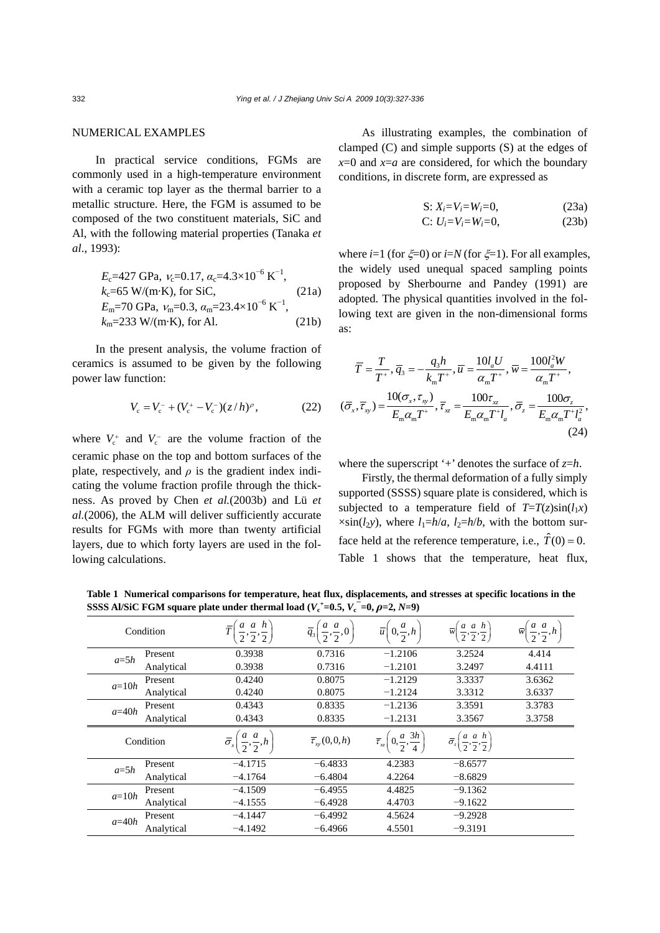as:

# NUMERICAL EXAMPLES

In practical service conditions, FGMs are commonly used in a high-temperature environment with a ceramic top layer as the thermal barrier to a metallic structure. Here, the FGM is assumed to be composed of the two constituent materials, SiC and Al, with the following material properties (Tanaka *et al*., 1993):

$$
E_{\rm c}=427 \text{ GPa}, \nu_{\rm c}=0.17, \alpha_{\rm c}=4.3\times10^{-6} \text{ K}^{-1},
$$
  
\n
$$
k_{\rm c}=65 \text{ W/(m} \cdot \text{K}), \text{ for SiC}, \qquad (21a)
$$
  
\n
$$
E_{\rm m}=70 \text{ GPa}, \nu_{\rm m}=0.3, \alpha_{\rm m}=23.4\times10^{-6} \text{ K}^{-1},
$$
  
\n
$$
k_{\rm m}=233 \text{ W/(m} \cdot \text{K}), \text{ for Al}. \qquad (21b)
$$

In the present analysis, the volume fraction of ceramics is assumed to be given by the following power law function:

$$
V_{\rm c} = V_{\rm c}^- + (V_{\rm c}^+ - V_{\rm c}^-)(z/h)^\rho, \qquad (22)
$$

where  $V_c^+$  and  $V_c^-$  are the volume fraction of the ceramic phase on the top and bottom surfaces of the plate, respectively, and  $\rho$  is the gradient index indicating the volume fraction profile through the thickness. As proved by Chen *et al.*(2003b) and Lü *et al.*(2006), the ALM will deliver sufficiently accurate results for FGMs with more than twenty artificial layers, due to which forty layers are used in the following calculations.

As illustrating examples, the combination of clamped (C) and simple supports (S) at the edges of  $x=0$  and  $x=a$  are considered, for which the boundary conditions, in discrete form, are expressed as

S: 
$$
X_i = V_i = W_i = 0
$$
, (23a)  
C:  $U_i = V_i = W_i = 0$ , (23b)

where *i*=1 (for ξ=0) or *i*=*N* (for ξ=1). For all examples, the widely used unequal spaced sampling points proposed by Sherbourne and Pandey (1991) are adopted. The physical quantities involved in the following text are given in the non-dimensional forms

$$
\overline{T} = \frac{T}{T^+}, \overline{q}_3 = -\frac{q_3 h}{k_m T^+}, \overline{u} = \frac{10 l_a U}{\alpha_m T^+}, \overline{w} = \frac{100 l_a^2 W}{\alpha_m T^+},
$$

$$
(\overline{\sigma}_x, \overline{\tau}_y) = \frac{10 (\sigma_x, \tau_y)}{E_m \alpha_m T^+}, \overline{\tau}_x = \frac{100 \tau_x}{E_m \alpha_m T^+ l_a}, \overline{\sigma}_z = \frac{100 \sigma_z}{E_m \alpha_m T^+ l_a^2},
$$
(24)

where the superscript '+' denotes the surface of  $z=h$ .

Firstly, the thermal deformation of a fully simply supported (SSSS) square plate is considered, which is subjected to a temperature field of  $T=T(z)\sin(l_1x)$  $\times$ sin(*l*<sub>2</sub>*y*), where *l*<sub>1</sub>=*h*/*a*, *l*<sub>2</sub>=*h*/*b*, with the bottom surface held at the reference temperature, i.e.,  $\hat{T}(0) = 0$ . Table 1 shows that the temperature, heat flux,

**Table 1 Numerical comparisons for temperature, heat flux, displacements, and stresses at specific locations in the SSSS Al/SiC FGM square plate under thermal load (** $V_c^+$ **=0.5,**  $V_c^-$ **=0,**  $\rho$ **=2,**  $N$ **=9)** 

| Condition |            | $\overline{2}$ , $\overline{2}$ , $\overline{2}$ ) | $\left(\frac{a}{2},\frac{a}{2},0\right)$<br>$\overline{q}_3$ | $\left(0,\frac{a}{2},h\right)$<br>$\overline{u}$         | a a h<br>$\overline{w}$<br>$\overline{2}$ , $\overline{2}$ , $\overline{2}$ | $\frac{a}{2}, \frac{a}{2}, h$<br>$\overline{w}$ |
|-----------|------------|----------------------------------------------------|--------------------------------------------------------------|----------------------------------------------------------|-----------------------------------------------------------------------------|-------------------------------------------------|
| $a=5h$    | Present    | 0.3938                                             | 0.7316                                                       | $-1.2106$                                                | 3.2524                                                                      | 4.414                                           |
|           | Analytical | 0.3938                                             | 0.7316                                                       | $-1.2101$                                                | 3.2497                                                                      | 4.4111                                          |
| $a=10h$   | Present    | 0.4240                                             | 0.8075                                                       | $-1.2129$                                                | 3.3337                                                                      | 3.6362                                          |
|           | Analytical | 0.4240                                             | 0.8075                                                       | $-1.2124$                                                | 3.3312                                                                      | 3.6337                                          |
| $a=40h$   | Present    | 0.4343                                             | 0.8335                                                       | $-1.2136$                                                | 3.3591                                                                      | 3.3783                                          |
|           | Analytical | 0.4343                                             | 0.8335                                                       | $-1.2131$                                                | 3.3567                                                                      | 3.3758                                          |
| Condition |            |                                                    |                                                              |                                                          |                                                                             |                                                 |
|           |            | $\overline{\sigma}_x$                              | $\overline{\tau}_{w}(0,0,h)$                                 | $(0,\frac{a}{2},\frac{3h}{2})$<br>$\overline{\tau}_{xz}$ | $\left(\frac{a}{2}, \frac{a}{2}, \frac{h}{2}\right)$<br>$\bar{\sigma}_z$    |                                                 |
|           | Present    | $-4.1715$                                          | $-6.4833$                                                    | 4.2383                                                   | $-8.6577$                                                                   |                                                 |
| $a=5h$    | Analytical | $-4.1764$                                          | $-6.4804$                                                    | 4.2264                                                   | $-8.6829$                                                                   |                                                 |
|           | Present    | $-4.1509$                                          | $-6.4955$                                                    | 4.4825                                                   | $-9.1362$                                                                   |                                                 |
| $a=10h$   | Analytical | $-4.1555$                                          | $-6.4928$                                                    | 4.4703                                                   | $-9.1622$                                                                   |                                                 |
| $a=40h$   | Present    | $-4.1447$                                          | $-6.4992$                                                    | 4.5624                                                   | $-9.2928$                                                                   |                                                 |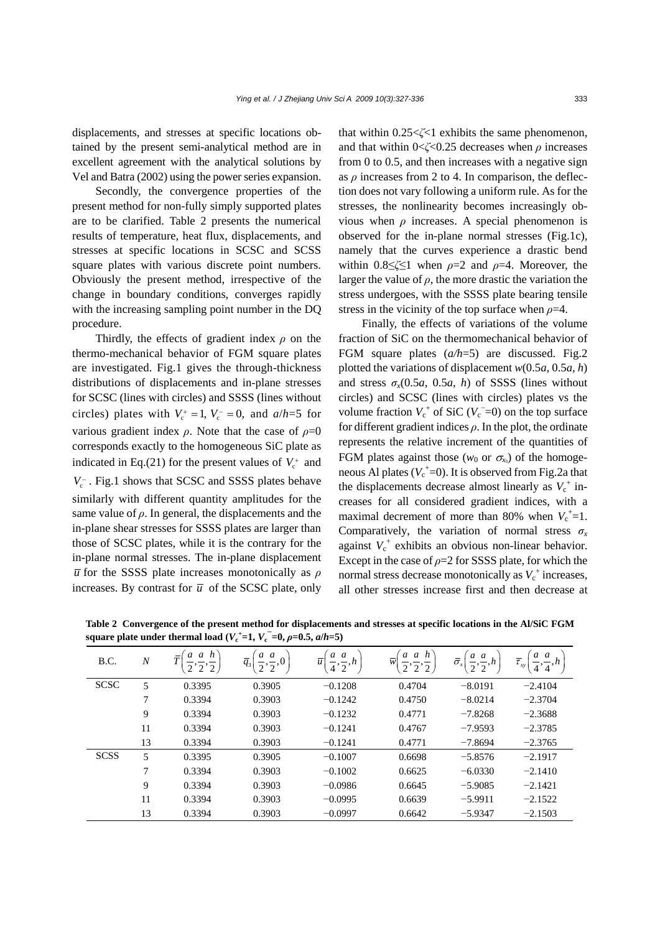displacements, and stresses at specific locations obtained by the present semi-analytical method are in excellent agreement with the analytical solutions by Vel and Batra (2002) using the power series expansion.

Secondly, the convergence properties of the present method for non-fully simply supported plates are to be clarified. Table 2 presents the numerical results of temperature, heat flux, displacements, and stresses at specific locations in SCSC and SCSS square plates with various discrete point numbers. Obviously the present method, irrespective of the change in boundary conditions, converges rapidly with the increasing sampling point number in the DQ procedure.

Thirdly, the effects of gradient index *ρ* on the thermo-mechanical behavior of FGM square plates are investigated. Fig.1 gives the through-thickness distributions of displacements and in-plane stresses for SCSC (lines with circles) and SSSS (lines without circles) plates with  $V_c^+ = 1$ ,  $V_c^- = 0$ , and  $a/h = 5$  for various gradient index  $\rho$ . Note that the case of  $\rho=0$ corresponds exactly to the homogeneous SiC plate as indicated in Eq.(21) for the present values of  $V_c^+$  and *V*<sub>c</sub><sup>−</sup>. Fig.1 shows that SCSC and SSSS plates behave similarly with different quantity amplitudes for the same value of  $\rho$ . In general, the displacements and the in-plane shear stresses for SSSS plates are larger than those of SCSC plates, while it is the contrary for the in-plane normal stresses. The in-plane displacement *u* for the SSSS plate increases monotonically as *ρ* increases. By contrast for  $\overline{u}$  of the SCSC plate, only

that within 0.25<*ζ*<1 exhibits the same phenomenon, and that within 0<*ζ*<0.25 decreases when *ρ* increases from 0 to 0.5, and then increases with a negative sign as *ρ* increases from 2 to 4. In comparison, the deflection does not vary following a uniform rule. As for the stresses, the nonlinearity becomes increasingly obvious when  $\rho$  increases. A special phenomenon is observed for the in-plane normal stresses (Fig.1c), namely that the curves experience a drastic bend within 0.8≤*ζ*≤1 when *ρ*=2 and *ρ*=4. Moreover, the larger the value of  $\rho$ , the more drastic the variation the stress undergoes, with the SSSS plate bearing tensile stress in the vicinity of the top surface when  $\rho$ =4.

Finally, the effects of variations of the volume fraction of SiC on the thermomechanical behavior of FGM square plates (*a/h*=5) are discussed. Fig.2 plotted the variations of displacement *w*(0.5*a*, 0.5*a*, *h*) and stress  $\sigma_x(0.5a, 0.5a, h)$  of SSSS (lines without circles) and SCSC (lines with circles) plates vs the volume fraction  $V_c^+$  of SiC ( $V_c^-$ =0) on the top surface for different gradient indices *ρ*. In the plot, the ordinate represents the relative increment of the quantities of FGM plates against those ( $w_0$  or  $\sigma_{x_0}$ ) of the homogeneous Al plates  $(V_c^{\dagger}=0)$ . It is observed from Fig.2a that the displacements decrease almost linearly as  $V_c^+$  increases for all considered gradient indices, with a maximal decrement of more than 80% when  $V_c^+$ =1. Comparatively, the variation of normal stress  $\sigma_x$ against  $V_c^+$  exhibits an obvious non-linear behavior. Except in the case of  $\rho = 2$  for SSSS plate, for which the normal stress decrease monotonically as  $V_c^+$  increases, all other stresses increase first and then decrease at

**Table 2 Convergence of the present method for displacements and stresses at specific locations in the Al/SiC FGM square plate under thermal load**  $(V_c^+=1, V_c^-=0, \rho=0.5, \alpha/h=5)$ 

| л.          |                | $\overline{\phantom{a}}$ |                              |                                    |             |                                          |                                             |
|-------------|----------------|--------------------------|------------------------------|------------------------------------|-------------|------------------------------------------|---------------------------------------------|
| B.C.        | $\overline{N}$ | $a \ a \ h$<br>$\tau$    | $a \, a$<br>$\overline{q}_3$ | a a<br>$\overline{u}$<br>(4, 7, h) | h<br>a<br>w | a a<br>$\bar{\sigma}_x$<br>$\mathcal{L}$ | a a<br>$\overline{\tau}_{\mathrm{xy}}$<br>4 |
| <b>SCSC</b> | 5              | 0.3395                   | 0.3905                       | $-0.1208$                          | 0.4704      | $-8.0191$                                | $-2.4104$                                   |
|             | 7              | 0.3394                   | 0.3903                       | $-0.1242$                          | 0.4750      | $-8.0214$                                | $-2.3704$                                   |
|             | 9              | 0.3394                   | 0.3903                       | $-0.1232$                          | 0.4771      | $-7.8268$                                | $-2.3688$                                   |
|             | 11             | 0.3394                   | 0.3903                       | $-0.1241$                          | 0.4767      | $-7.9593$                                | $-2.3785$                                   |
|             | 13             | 0.3394                   | 0.3903                       | $-0.1241$                          | 0.4771      | $-7.8694$                                | $-2.3765$                                   |
| <b>SCSS</b> | 5              | 0.3395                   | 0.3905                       | $-0.1007$                          | 0.6698      | $-5.8576$                                | $-2.1917$                                   |
|             | 7              | 0.3394                   | 0.3903                       | $-0.1002$                          | 0.6625      | $-6.0330$                                | $-2.1410$                                   |
|             | 9              | 0.3394                   | 0.3903                       | $-0.0986$                          | 0.6645      | $-5.9085$                                | $-2.1421$                                   |
|             | 11             | 0.3394                   | 0.3903                       | $-0.0995$                          | 0.6639      | $-5.9911$                                | $-2.1522$                                   |
|             | 13             | 0.3394                   | 0.3903                       | $-0.0997$                          | 0.6642      | $-5.9347$                                | $-2.1503$                                   |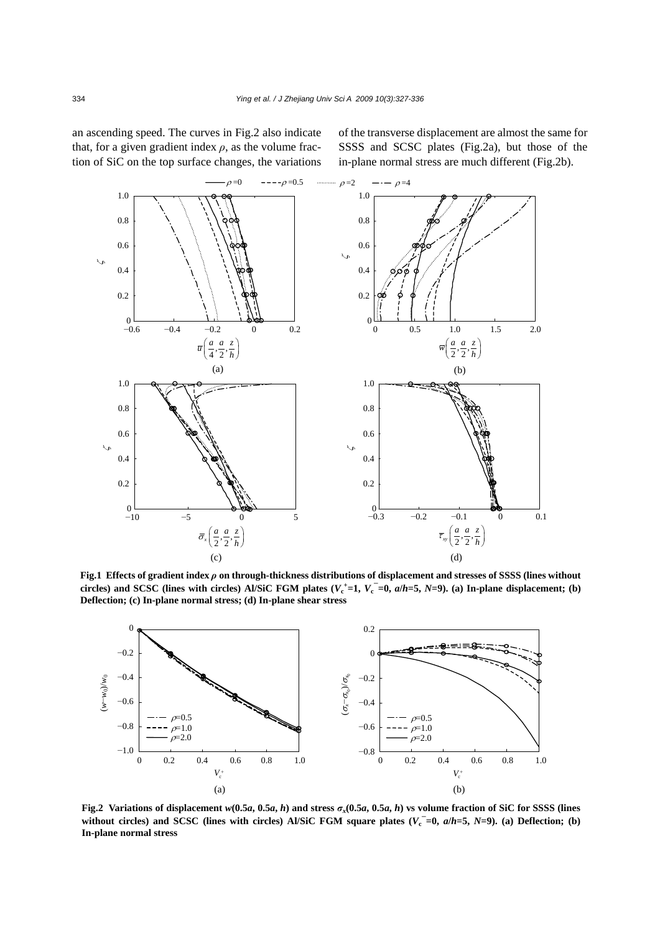an ascending speed. The curves in Fig.2 also indicate that, for a given gradient index  $\rho$ , as the volume fraction of SiC on the top surface changes, the variations of the transverse displacement are almost the same for SSSS and SCSC plates (Fig.2a), but those of the in-plane normal stress are much different (Fig.2b).



**Fig.1 Effects of gradient index** *ρ* **on through-thickness distributions of displacement and stresses of SSSS (lines without** circles) and SCSC (lines with circles) Al/SiC FGM plates  $(V_c^+ = 1, V_c^- = 0, a/h = 5, N = 9)$ . (a) In-plane displacement; (b) **Deflection; (c) In-plane normal stress; (d) In-plane shear stress** 



Fig.2 Variations of displacement  $w(0.5a, 0.5a, h)$  and stress  $\sigma_x(0.5a, 0.5a, h)$  vs volume fraction of SiC for SSSS (lines without circles) and SCSC (lines with circles) Al/SiC FGM square plates  $(V_c^{\dagger} = 0, a/h = 5, N = 9)$ . (a) Deflection; (b) **In-plane normal stress**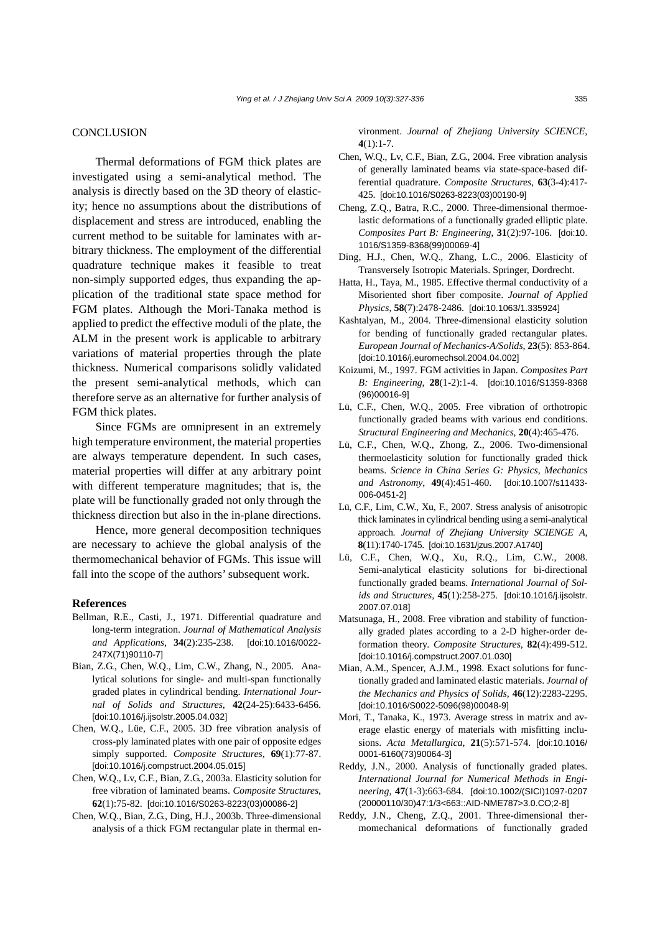#### **CONCLUSION**

Thermal deformations of FGM thick plates are investigated using a semi-analytical method. The analysis is directly based on the 3D theory of elasticity; hence no assumptions about the distributions of displacement and stress are introduced, enabling the current method to be suitable for laminates with arbitrary thickness. The employment of the differential quadrature technique makes it feasible to treat non-simply supported edges, thus expanding the application of the traditional state space method for FGM plates. Although the Mori-Tanaka method is applied to predict the effective moduli of the plate, the ALM in the present work is applicable to arbitrary variations of material properties through the plate thickness. Numerical comparisons solidly validated the present semi-analytical methods, which can therefore serve as an alternative for further analysis of FGM thick plates.

Since FGMs are omnipresent in an extremely high temperature environment, the material properties are always temperature dependent. In such cases, material properties will differ at any arbitrary point with different temperature magnitudes; that is, the plate will be functionally graded not only through the thickness direction but also in the in-plane directions.

Hence, more general decomposition techniques are necessary to achieve the global analysis of the thermomechanical behavior of FGMs. This issue will fall into the scope of the authors' subsequent work.

## **References**

- Bellman, R.E., Casti, J., 1971. Differential quadrature and long-term integration. *Journal of Mathematical Analysis and Applications*, **34**(2):235-238. [doi:10.1016/0022- 247X(71)90110-7]
- Bian, Z.G., Chen, W.Q., Lim, C.W., Zhang, N., 2005. Analytical solutions for single- and multi-span functionally graded plates in cylindrical bending. *International Journal of Solids and Structures*, **42**(24-25):6433-6456. [doi:10.1016/j.ijsolstr.2005.04.032]
- Chen, W.Q., Lüe, C.F., 2005. 3D free vibration analysis of cross-ply laminated plates with one pair of opposite edges simply supported. *Composite Structures*, **69**(1):77-87. [doi:10.1016/j.compstruct.2004.05.015]
- Chen, W.Q., Lv, C.F., Bian, Z.G., 2003a. Elasticity solution for free vibration of laminated beams. *Composite Structures*, **62**(1):75-82. [doi:10.1016/S0263-8223(03)00086-2]
- Chen, W.Q., Bian, Z.G., Ding, H.J., 2003b. Three-dimensional analysis of a thick FGM rectangular plate in thermal en-

vironment. *Journal of Zhejiang University SCIENCE*,  $4(1):1-7$ 

- Chen, W.Q., Lv, C.F., Bian, Z.G., 2004. Free vibration analysis of generally laminated beams via state-space-based differential quadrature. *Composite Structures*, **63**(3-4):417- 425. [doi:10.1016/S0263-8223(03)00190-9]
- Cheng, Z.Q., Batra, R.C., 2000. Three-dimensional thermoelastic deformations of a functionally graded elliptic plate. *Composites Part B: Engineering*, **31**(2):97-106. [doi:10. 1016/S1359-8368(99)00069-4]
- Ding, H.J., Chen, W.Q., Zhang, L.C., 2006. Elasticity of Transversely Isotropic Materials. Springer, Dordrecht.
- Hatta, H., Taya, M., 1985. Effective thermal conductivity of a Misoriented short fiber composite. *Journal of Applied Physics*, **58**(7):2478-2486. [doi:10.1063/1.335924]
- Kashtalyan, M., 2004. Three-dimensional elasticity solution for bending of functionally graded rectangular plates. *European Journal of Mechanics-A/Solids*, **23**(5): 853-864. [doi:10.1016/j.euromechsol.2004.04.002]
- Koizumi, M., 1997. FGM activities in Japan. *Composites Part B: Engineering*, **28**(1-2):1-4. [doi:10.1016/S1359-8368 (96)00016-9]
- Lü, C.F., Chen, W.Q., 2005. Free vibration of orthotropic functionally graded beams with various end conditions. *Structural Engineering and Mechanics*, **20**(4):465-476.
- Lü, C.F., Chen, W.Q., Zhong, Z., 2006. Two-dimensional thermoelasticity solution for functionally graded thick beams. *Science in China Series G: Physics, Mechanics and Astronomy*, **49**(4):451-460. [doi:10.1007/s11433- 006-0451-2]
- Lü, C.F., Lim, C.W., Xu, F., 2007. Stress analysis of anisotropic thick laminates in cylindrical bending using a semi-analytical approach. *Journal of Zhejiang University SCIENGE A*, **8**(11):1740-1745. [doi:10.1631/jzus.2007.A1740]
- Lü, C.F., Chen, W.Q., Xu, R.Q., Lim, C.W., 2008. Semi-analytical elasticity solutions for bi-directional functionally graded beams. *International Journal of Solids and Structures*, **45**(1):258-275. [doi:10.1016/j.ijsolstr. 2007.07.018]
- Matsunaga, H., 2008. Free vibration and stability of functionally graded plates according to a 2-D higher-order deformation theory. *Composite Structures*, **82**(4):499-512. [doi:10.1016/j.compstruct.2007.01.030]
- Mian, A.M., Spencer, A.J.M., 1998. Exact solutions for functionally graded and laminated elastic materials. *Journal of the Mechanics and Physics of Solids*, **46**(12):2283-2295. [doi:10.1016/S0022-5096(98)00048-9]
- Mori, T., Tanaka, K., 1973. Average stress in matrix and average elastic energy of materials with misfitting inclusions. *Acta Metallurgica*, **21**(5):571-574. [doi:10.1016/ 0001-6160(73)90064-3]
- Reddy, J.N., 2000. Analysis of functionally graded plates. *International Journal for Numerical Methods in Engineering*, **47**(1-3):663-684. [doi:10.1002/(SICI)1097-0207 (20000110/30)47:1/3<663::AID-NME787>3.0.CO;2-8]
- Reddy, J.N., Cheng, Z.Q., 2001. Three-dimensional thermomechanical deformations of functionally graded